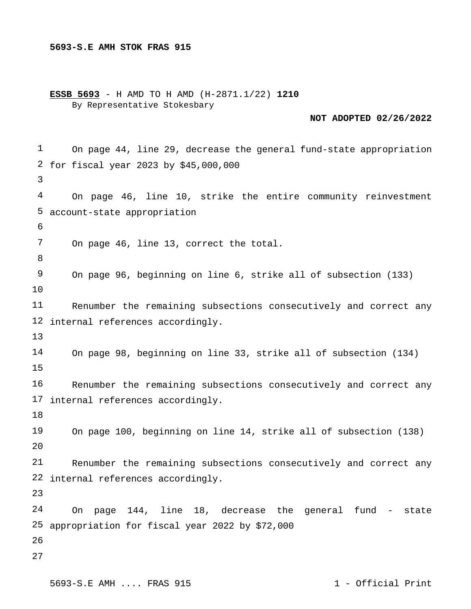**ESSB 5693** - H AMD TO H AMD (H-2871.1/22) **1210** By Representative Stokesbary

### **NOT ADOPTED 02/26/2022**

 for fiscal year 2023 by \$45,000,000 account-state appropriation internal references accordingly. internal references accordingly.  $2.0$  internal references accordingly. appropriation for fiscal year 2022 by \$72,000 On page 44, line 29, decrease the general fund-state appropriation On page 46, line 10, strike the entire community reinvestment On page 46, line 13, correct the total. On page 96, beginning on line 6, strike all of subsection (133) Renumber the remaining subsections consecutively and correct any On page 98, beginning on line 33, strike all of subsection (134) Renumber the remaining subsections consecutively and correct any On page 100, beginning on line 14, strike all of subsection (138) Renumber the remaining subsections consecutively and correct any On page 144, line 18, decrease the general fund - state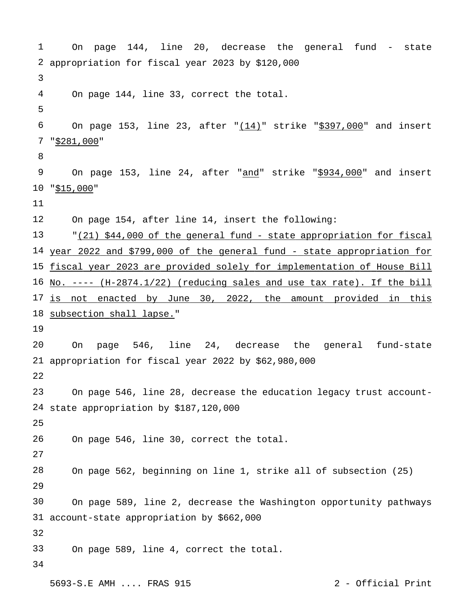```
1
 2
appropriation for fiscal year 2023 by $120,000
3
4
5
6
 7 "$281,000"
8
9
10 "$15,000"
11
12
13
14 year 2022 and $799,000 of the general fund - state appropriation for
15
fiscal year 2023 are provided solely for implementation of House Bill
16 No. ---- (H-2874.1/22) (reducing sales and use tax rate). If the bill
17
is not enacted by June 30, 2022, the amount provided in this
18 subsection shall lapse."
19
20
21
appropriation for fiscal year 2022 by $62,980,000
22
23
24
state appropriation by $187,120,000
25
26
27
28
29
30
31
account-state appropriation by $662,000
32
33
34
       On page 144, line 20, decrease the general fund - state 
       On page 144, line 33, correct the total.
       On page 153, line 23, after \sqrt{(14)} strike "$397,000" and insert
       On page 153, line 24, after "and" strike "$934,000" and insert
       On page 154, after line 14, insert the following:
       "(21) $44,000 of the general fund - state appropriation for fiscal
       On page 546, line 24, decrease the general fund-state 
       On page 546, line 28, decrease the education legacy trust account-
       On page 546, line 30, correct the total.
       On page 562, beginning on line 1, strike all of subsection (25)
       On page 589, line 2, decrease the Washington opportunity pathways 
       On page 589, line 4, correct the total.
```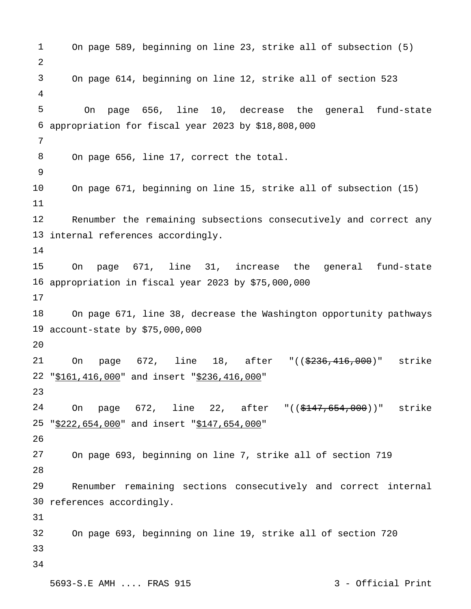```
1
2
3
4
5
 6
appropriation for fiscal year 2023 by $18,808,000
7
8
9
10
11
12
13
internal references accordingly.
14
15
16
appropriation in fiscal year 2023 by $75,000,000
17
18
19
account-state by $75,000,000
20
21
22 "$161,416,000" and insert "$236,416,000"
23
24
25
26
27
28
29
30
references accordingly.
31
32
33
34
      On page 589, beginning on line 23, strike all of subsection (5)
       On page 614, beginning on line 12, strike all of section 523
         On page 656, line 10, decrease the general fund-state 
       On page 656, line 17, correct the total.
      On page 671, beginning on line 15, strike all of subsection (15)
      Renumber the remaining subsections consecutively and correct any 
      On page 671, line 31, increase the general fund-state 
       On page 671, line 38, decrease the Washington opportunity pathways 
       On page 672, line 18, after "(($236,416,000)" strike
       On page 672, line 22, after "(($147,654,000))" strike
   "$222,654,000" and insert "$147,654,000"
      On page 693, beginning on line 7, strike all of section 719
      Renumber remaining sections consecutively and correct internal 
       On page 693, beginning on line 19, strike all of section 720
```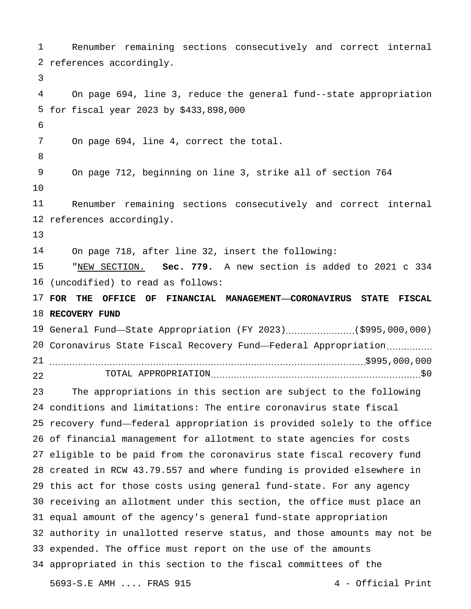references accordingly. for fiscal year 2023 by \$433,898,000 references accordingly. (uncodified) to read as follows: **FOR THE OFFICE OF FINANCIAL MANAGEMENT—CORONAVIRUS STATE FISCAL RECOVERY FUND** 19 General Fund—State Appropriation (FY 2023).....................(\$995,000,000) Coronavirus State Fiscal Recovery Fund—Federal Appropriation \$995,000,000 conditions and limitations: The entire coronavirus state fiscal recovery fund—federal appropriation is provided solely to the office of financial management for allotment to state agencies for costs eligible to be paid from the coronavirus state fiscal recovery fund created in RCW 43.79.557 and where funding is provided elsewhere in this act for those costs using general fund-state. For any agency receiving an allotment under this section, the office must place an equal amount of the agency's general fund-state appropriation authority in unallotted reserve status, and those amounts may not be expended. The office must report on the use of the amounts appropriated in this section to the fiscal committees of the 5693-S.E AMH .... FRAS 915 4 - Official Print Renumber remaining sections consecutively and correct internal On page 694, line 3, reduce the general fund--state appropriation On page 694, line 4, correct the total. On page 712, beginning on line 3, strike all of section 764 Renumber remaining sections consecutively and correct internal On page 718, after line 32, insert the following: "NEW SECTION. **Sec. 779.** A new section is added to 2021 c 334 TOTAL APPROPRIATION \$0 The appropriations in this section are subject to the following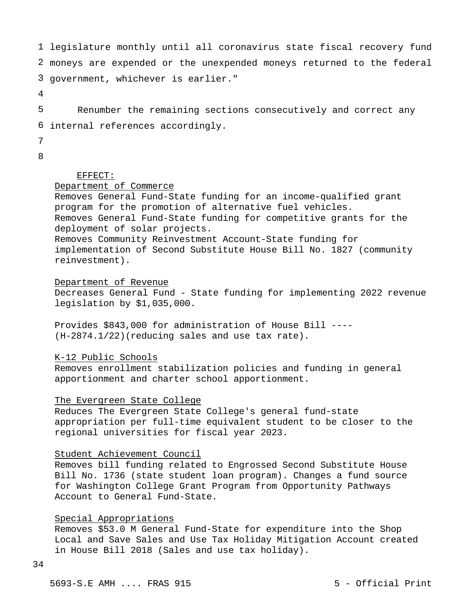1 legislature monthly until all coronavirus state fiscal recovery fund 2 moneys are expended or the unexpended moneys returned to the federal 3 government, whichever is earlier."

4

5 6 internal references accordingly.Renumber the remaining sections consecutively and correct any

- 7
- 8

## EFFECT:

# Department of Commerce

Removes General Fund-State funding for an income-qualified grant program for the promotion of alternative fuel vehicles. Removes General Fund-State funding for competitive grants for the deployment of solar projects. Removes Community Reinvestment Account-State funding for implementation of Second Substitute House Bill No. 1827 (community reinvestment).

#### Department of Revenue

Decreases General Fund - State funding for implementing 2022 revenue legislation by \$1,035,000.

Provides \$843,000 for administration of House Bill ---- (H-2874.1/22)(reducing sales and use tax rate).

### K-12 Public Schools

Removes enrollment stabilization policies and funding in general apportionment and charter school apportionment.

## The Evergreen State College

Reduces The Evergreen State College's general fund-state appropriation per full-time equivalent student to be closer to the regional universities for fiscal year 2023.

#### Student Achievement Council

Removes bill funding related to Engrossed Second Substitute House Bill No. 1736 (state student loan program). Changes a fund source for Washington College Grant Program from Opportunity Pathways Account to General Fund-State.

### Special Appropriations

Removes \$53.0 M General Fund-State for expenditure into the Shop Local and Save Sales and Use Tax Holiday Mitigation Account created in House Bill 2018 (Sales and use tax holiday).